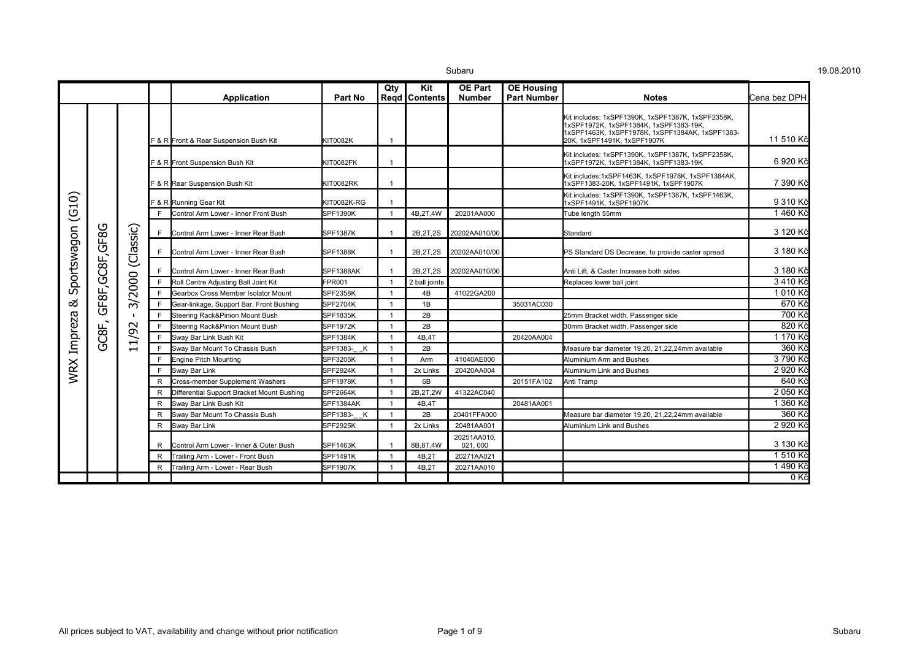|                      |                  |                                    |    |                                            |                    | Qty            | Kit             | <b>OE Part</b>          | <b>OE Housing</b>  |                                                                                                                                                                               |                       |
|----------------------|------------------|------------------------------------|----|--------------------------------------------|--------------------|----------------|-----------------|-------------------------|--------------------|-------------------------------------------------------------------------------------------------------------------------------------------------------------------------------|-----------------------|
|                      |                  |                                    |    | Application                                | Part No            |                | Regd   Contents | <b>Number</b>           | <b>Part Number</b> | <b>Notes</b>                                                                                                                                                                  | <b>I</b> Cena bez DPH |
|                      |                  |                                    |    | F & R Front & Rear Suspension Bush Kit     | <b>KIT0082K</b>    |                |                 |                         |                    | Kit includes: 1xSPF1390K, 1xSPF1387K, 1xSPF2358K,<br>1xSPF1972K, 1xSPF1384K, 1xSPF1383-19K,<br>1xSPF1463K, 1xSPF1978K, 1xSPF1384AK, 1xSPF1383-<br>20K, 1xSPF1491K, 1xSPF1907K | 11 510 Kč             |
|                      |                  |                                    |    | F & R Front Suspension Bush Kit            | KIT0082FK          |                |                 |                         |                    | Kit includes: 1xSPF1390K, 1xSPF1387K, 1xSPF2358K,<br>1xSPF1972K, 1xSPF1384K, 1xSPF1383-19K                                                                                    | 6920 Kč               |
|                      |                  |                                    |    | F & R Rear Suspension Bush Kit             | KIT0082RK          |                |                 |                         |                    | Kit includes:1xSPF1463K, 1xSPF1978K, 1xSPF1384AK,<br>1xSPF1383-20K, 1xSPF1491K, 1xSPF1907K                                                                                    | 7 390 Kč              |
| (G10)<br>Sportswagon |                  |                                    |    | F & R Running Gear Kit                     | <b>KIT0082K-RG</b> |                |                 |                         |                    | Kit includes: 1xSPF1390K, 1xSPF1387K, 1xSPF1463K,<br>1xSPF1491K, 1xSPF1907K                                                                                                   | 9 310 Kč              |
|                      |                  |                                    | F. | Control Arm Lower - Inner Front Bush       | <b>SPF1390K</b>    |                | 4B,2T,4W        | 20201AA000              |                    | Tube length 55mm                                                                                                                                                              | 1460 Kč               |
|                      |                  |                                    | E  | Control Arm Lower - Inner Rear Bush        | <b>SPF1387K</b>    |                | 2B, 2T, 2S      | 20202AA010/00           |                    | Standard                                                                                                                                                                      | 3 120 Kč              |
|                      | GF8F, GC8F, GF8G | (Classic)                          | F. | Control Arm Lower - Inner Rear Bush        | <b>SPF1388K</b>    |                | 2B, 2T, 2S      | 20202AA010/00           |                    | PS Standard DS Decrease, to provide caster spread                                                                                                                             | 3 180 Kč              |
|                      |                  | 2000<br>$\widetilde{\vphantom{m}}$ | F. | Control Arm Lower - Inner Rear Bush        | SPF1388AK          |                | 2B, 2T, 2S      | 20202AA010/00           |                    | Anti Lift, & Caster Increase both sides                                                                                                                                       | 3 180 Kč              |
|                      |                  |                                    | E  | Roll Centre Adjusting Ball Joint Kit       | FPR001             |                | 2 ball joints   |                         |                    | Replaces lower ball joint                                                                                                                                                     | 3 410 Kč              |
|                      |                  |                                    | E  | Gearbox Cross Member Isolator Mount        | <b>SPF2358K</b>    |                | 4B              | 41022GA200              |                    |                                                                                                                                                                               | 1 010 Kč              |
| ಹ                    |                  |                                    | F  | Gear-linkage, Support Bar, Front Bushing   | <b>SPF2704K</b>    |                | 1B              |                         | 35031AC030         |                                                                                                                                                                               | 670 Kč                |
|                      |                  |                                    | E  | Steering Rack&Pinion Mount Bush            | <b>SPF1835K</b>    |                | 2B              |                         |                    | 25mm Bracket width, Passenger side                                                                                                                                            | 700 Kč                |
| WRX Impreza          |                  | $\sim$                             | E  | Steering Rack&Pinion Mount Bush            | <b>SPF1972K</b>    |                | 2B              |                         |                    | 30mm Bracket width, Passenger side                                                                                                                                            | 820 Kč                |
|                      | GC8F,            | 1/9                                | E  | Sway Bar Link Bush Kit                     | <b>SPF1384K</b>    |                | 4B,4T           |                         | 20420AA004         |                                                                                                                                                                               | 1 170 Kč              |
|                      |                  | $\overline{\phantom{0}}$           | E  | Sway Bar Mount To Chassis Bush             | SPF1383- K         | $\overline{1}$ | 2B              |                         |                    | Measure bar diameter 19.20, 21.22.24mm available                                                                                                                              | 360 Kč                |
|                      |                  |                                    | F  | <b>Engine Pitch Mounting</b>               | <b>SPF3205K</b>    |                | Arm             | 41040AE000              |                    | Aluminium Arm and Bushes                                                                                                                                                      | 3 790 Kč              |
|                      |                  |                                    | E  | Sway Bar Link                              | <b>SPF2924K</b>    |                | 2x Links        | 20420AA004              |                    | Aluminium Link and Bushes                                                                                                                                                     | 2 920 Kč              |
|                      |                  |                                    | R  | Cross-member Supplement Washers            | <b>SPF1978K</b>    |                | 6B              |                         | 20151FA102         | Anti Tramp                                                                                                                                                                    | 640 Kč                |
|                      |                  |                                    | R  | Differential Support Bracket Mount Bushing | <b>SPF2664K</b>    |                | 2B, 2T, 2W      | 41322AC040              |                    |                                                                                                                                                                               | 2 050 Kč              |
|                      |                  |                                    | R  | Sway Bar Link Bush Kit                     | SPF1384AK          |                | 4B,4T           |                         | 20481AA001         |                                                                                                                                                                               | 1 360 Kč              |
|                      |                  |                                    | R  | Sway Bar Mount To Chassis Bush             | SPF1383- K         | - 1            | 2B              | 20401FFA000             |                    | Measure bar diameter 19,20, 21,22,24mm available                                                                                                                              | 360 Kč                |
|                      |                  |                                    | R  | Sway Bar Link                              | <b>SPF2925K</b>    |                | 2x Links        | 20481AA001              |                    | Aluminium Link and Bushes                                                                                                                                                     | 2 920 Kč              |
|                      |                  |                                    | R  | Control Arm Lower - Inner & Outer Bush     | <b>SPF1463K</b>    |                | 8B, 8T, 4W      | 20251AA010.<br>021, 000 |                    |                                                                                                                                                                               | 3 130 Kč              |
|                      |                  |                                    | R  | Trailing Arm - Lower - Front Bush          | <b>SPF1491K</b>    |                | 4B.2T           | 20271AA021              |                    |                                                                                                                                                                               | 1 510 Kč              |
|                      |                  |                                    | R  | Trailing Arm - Lower - Rear Bush           | <b>SPF1907K</b>    |                | 4B,2T           | 20271AA010              |                    |                                                                                                                                                                               | 1490 Kč               |
|                      |                  |                                    |    |                                            |                    |                |                 |                         |                    |                                                                                                                                                                               | 0Kč                   |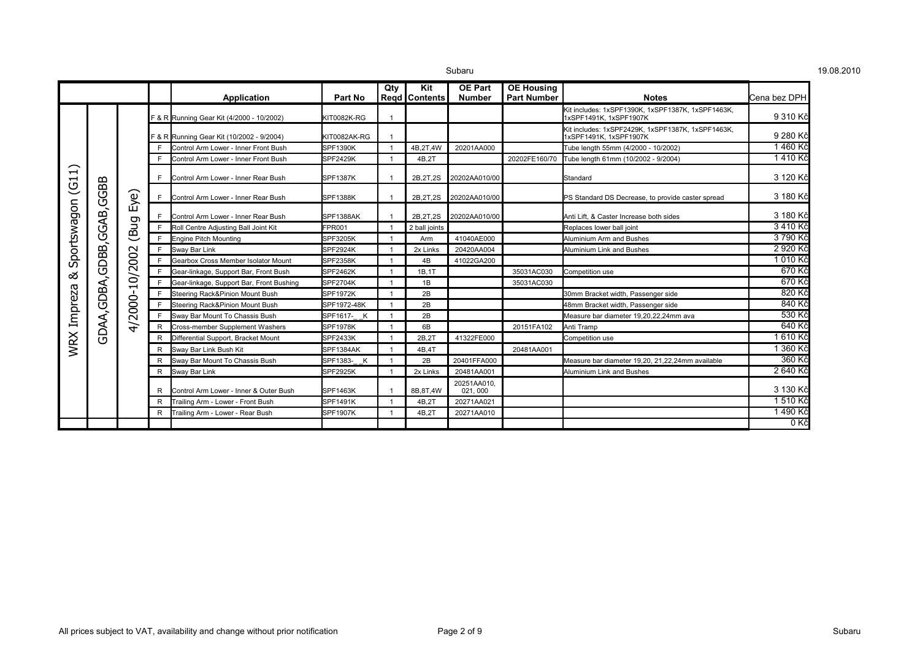| Subaru |  |
|--------|--|
|        |  |

|                                                   |                  |                        |    | Application                               | Part No         | Qty | Kit<br>Regd   Contents | <b>OE Part</b><br><b>Number</b> | <b>OE Housing</b><br><b>Part Number</b> | <b>Notes</b>                                                                | <b>l</b> Cena bez DPH |
|---------------------------------------------------|------------------|------------------------|----|-------------------------------------------|-----------------|-----|------------------------|---------------------------------|-----------------------------------------|-----------------------------------------------------------------------------|-----------------------|
|                                                   |                  |                        |    | F & R Running Gear Kit (4/2000 - 10/2002) | KIT0082K-RG     |     |                        |                                 |                                         | Kit includes: 1xSPF1390K, 1xSPF1387K, 1xSPF1463K,<br>1xSPF1491K, 1xSPF1907K | 9 310 Kč              |
|                                                   |                  |                        |    | F & R Running Gear Kit (10/2002 - 9/2004) | KIT0082AK-RG    |     |                        |                                 |                                         | Kit includes: 1xSPF2429K, 1xSPF1387K, 1xSPF1463K,<br>1xSPF1491K, 1xSPF1907K | 9 280 Kč              |
|                                                   |                  |                        |    | Control Arm Lower - Inner Front Bush      | SPF1390K        |     | 4B,2T,4W               | 20201AA000                      |                                         | Tube length 55mm (4/2000 - 10/2002)                                         | 1460 Kč               |
|                                                   |                  |                        |    | Control Arm Lower - Inner Front Bush      | <b>SPF2429K</b> |     | 4B.2T                  |                                 | 20202FE160/70                           | Tube length 61mm (10/2002 - 9/2004)                                         | 1410 Kč               |
| $\overline{\phantom{0}}$<br>ᆋ<br>ಲ<br>Sportswagon |                  |                        | F  | Control Arm Lower - Inner Rear Bush       | <b>SPF1387K</b> |     | 2B, 2T, 2S             | 20202AA010/00                   |                                         | Standard                                                                    | 3 120 Kč              |
|                                                   | GDBB, GGAB, GGBB | Eye)                   |    | Control Arm Lower - Inner Rear Bush       | <b>SPF1388K</b> |     | 2B, 2T, 2S             | 20202AA010/00                   |                                         | PS Standard DS Decrease, to provide caster spread                           | 3 180 Kč              |
|                                                   |                  |                        |    | Control Arm Lower - Inner Rear Bush       | SPF1388AK       |     | 2B.2T.2S               | 20202AA010/00                   |                                         | Anti Lift, & Caster Increase both sides                                     | 3 180 Kč              |
|                                                   |                  | (Bug<br>4/2000-10/2002 | F  | Roll Centre Adjusting Ball Joint Kit      | FPR001          |     | 2 ball joints          |                                 |                                         | Replaces lower ball joint                                                   | 3410 Kč               |
|                                                   |                  |                        | F  | <b>Engine Pitch Mounting</b>              | SPF3205K        |     | Arm                    | 41040AE000                      |                                         | Aluminium Arm and Bushes                                                    | 3 790 Kč              |
|                                                   |                  |                        | E  | Sway Bar Link                             | <b>SPF2924K</b> |     | 2x Links               | 20420AA004                      |                                         | Aluminium Link and Bushes                                                   | 2 920 Kč              |
|                                                   |                  |                        | F. | Gearbox Cross Member Isolator Mount       | <b>SPF2358K</b> |     | 4B                     | 41022GA200                      |                                         |                                                                             | 1 010 Kč              |
| య                                                 |                  |                        | E  | Gear-linkage, Support Bar, Front Bush     | SPF2462K        |     | 1B.1T                  |                                 | 35031AC030                              | Competition use                                                             | 670 Kč                |
|                                                   |                  |                        | E  | Gear-linkage, Support Bar, Front Bushing  | SPF2704K        |     | 1B                     |                                 | 35031AC030                              |                                                                             | 670 Kč                |
|                                                   |                  |                        | F. | Steering Rack&Pinion Mount Bush           | <b>SPF1972K</b> |     | 2B                     |                                 |                                         | 30mm Bracket width, Passenger side                                          | 820 Kč                |
| Impreza                                           | GDAA,GDBA,       |                        |    | Steering Rack&Pinion Mount Bush           | SPF1972-48K     |     | 2B                     |                                 |                                         | 48mm Bracket width, Passenger side                                          | 840 Kč                |
|                                                   |                  |                        | F  | Sway Bar Mount To Chassis Bush            | SPF1617-__K     |     | 2B                     |                                 |                                         | Measure bar diameter 19.20.22.24mm ava                                      | 530 Kč                |
|                                                   |                  |                        | R. | Cross-member Supplement Washers           | SPF1978K        |     | 6B                     |                                 | 20151FA102                              | Anti Tramp                                                                  | 640 Kč                |
|                                                   |                  |                        | R  | Differential Support, Bracket Mount       | <b>SPF2433K</b> |     | 2B,2T                  | 41322FE000                      |                                         | Competition use                                                             | 1610 Kč               |
| <b>WRX</b>                                        |                  |                        | R  | Sway Bar Link Bush Kit                    | SPF1384AK       |     | 4B.4T                  |                                 | 20481AA001                              |                                                                             | 1 360 Kč              |
|                                                   |                  |                        | R  | Sway Bar Mount To Chassis Bush            | SPF1383- K      |     | 2B                     | 20401FFA000                     |                                         | Measure bar diameter 19,20, 21,22,24mm available                            | 360 Kč                |
|                                                   |                  |                        | R  | Sway Bar Link                             | <b>SPF2925K</b> |     | 2x Links               | 20481AA001                      |                                         | Aluminium Link and Bushes                                                   | 2 640 Kč              |
|                                                   |                  |                        | R  | Control Arm Lower - Inner & Outer Bush    | <b>SPF1463K</b> |     | 8B.8T.4W               | 20251AA010.<br>021, 000         |                                         |                                                                             | 3 130 Kč              |
|                                                   |                  |                        | R  | Trailing Arm - Lower - Front Bush         | <b>SPF1491K</b> |     | 4B,2T                  | 20271AA021                      |                                         |                                                                             | 1510 Kč               |
|                                                   |                  |                        | R  | Trailing Arm - Lower - Rear Bush          | <b>SPF1907K</b> |     | 4B,2T                  | 20271AA010                      |                                         |                                                                             | 1490 Kč               |
|                                                   |                  |                        |    |                                           |                 |     |                        |                                 |                                         |                                                                             | 0 Kč                  |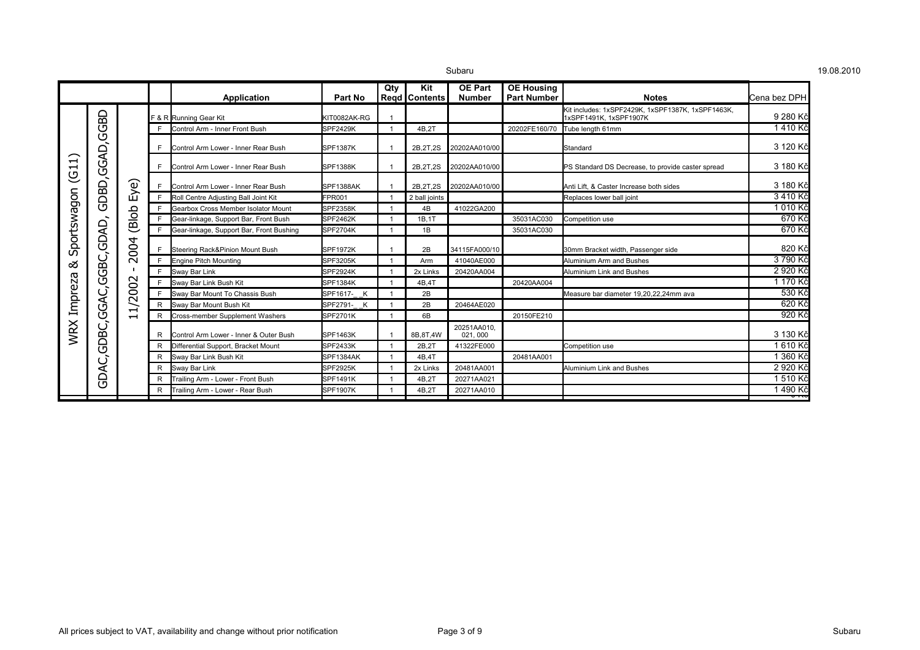|                                                           |                |                |   |                                          |                 | Qty | Kit             | <b>OE Part</b>         | <b>OE Housing</b>  |                                                                             |                |
|-----------------------------------------------------------|----------------|----------------|---|------------------------------------------|-----------------|-----|-----------------|------------------------|--------------------|-----------------------------------------------------------------------------|----------------|
|                                                           |                |                |   | <b>Application</b>                       | Part No         |     | Reqd   Contents | <b>Number</b>          | <b>Part Number</b> | <b>Notes</b>                                                                | lCena bez DPH  |
| $\overline{\phantom{0}}$<br>$\overline{G}$<br>Sportswagon | GBD            |                |   | F & R Running Gear Kit                   | KIT0082AK-RG    |     |                 |                        |                    | Kit includes: 1xSPF2429K, 1xSPF1387K, 1xSPF1463K,<br>1xSPF1491K, 1xSPF1907K | 9 280 Kč       |
|                                                           |                |                | E | Control Arm - Inner Front Bush           | <b>SPF2429K</b> |     | 4B.2T           |                        | 20202FE160/70      | Tube length 61mm                                                            | 1410 Kč        |
|                                                           | Ū              |                | F | Control Arm Lower - Inner Rear Bush      | <b>SPF1387K</b> |     | 2B, 2T, 2S      | 20202AA010/00          |                    | Standard                                                                    | 3 120 Kč       |
|                                                           |                |                |   | Control Arm Lower - Inner Rear Bush      | SPF1388K        |     | 2B, 2T, 2S      | 20202AA010/00          |                    | PS Standard DS Decrease, to provide caster spread                           | 3 180 Kč       |
|                                                           | GDBD,GGAD      | Eye)           |   | Control Arm Lower - Inner Rear Bush      | SPF1388AK       |     | 2B.2T.2S        | 20202AA010/00          |                    | Anti Lift. & Caster Increase both sides                                     | 3 180 Kč       |
|                                                           |                |                | F | Roll Centre Adjusting Ball Joint Kit     | <b>FPR001</b>   |     | 2 ball joints   |                        |                    | Replaces lower ball joint                                                   | 3410 Kč        |
|                                                           |                |                | E | Gearbox Cross Member Isolator Mount      | SPF2358K        |     | 4B              | 41022GA200             |                    |                                                                             | 1 010 Kč       |
|                                                           | GDAD,<br>GGBC, | (Blob          |   | Gear-linkage, Support Bar, Front Bush    | SPF2462K        |     | 1B.1T           |                        | 35031AC030         | Competition use                                                             | 670 Kč         |
|                                                           |                |                |   | Gear-linkage, Support Bar, Front Bushing | <b>SPF2704K</b> |     | 1B              |                        | 35031AC030         |                                                                             | 670 Kč         |
|                                                           |                | 2004<br>1/2002 |   | Steering Rack&Pinion Mount Bush          | <b>SPF1972K</b> |     | 2B              | 34115FA000/10          |                    | 30mm Bracket width, Passenger side                                          | 820 Kč         |
| య                                                         |                |                | F | <b>Engine Pitch Mounting</b>             | SPF3205K        |     | Arm             | 41040AE000             |                    | Aluminium Arm and Bushes                                                    | 3790 Kč        |
|                                                           |                |                | F | Sway Bar Link                            | SPF2924K        |     | 2x Links        | 20420AA004             |                    | Aluminium Link and Bushes                                                   | 2 920 Kč       |
| Impreza                                                   |                |                |   | Sway Bar Link Bush Kit                   | SPF1384K        |     | 4B.4T           |                        | 20420AA004         |                                                                             | 1 170 Kč       |
|                                                           |                |                |   | Sway Bar Mount To Chassis Bush           | SPF1617- K      |     | 2B              |                        |                    | Measure bar diameter 19,20,22,24mm ava                                      | 530 Kč         |
|                                                           |                |                | R | Sway Bar Mount Bush Kit                  | SPF2791-<br>K   |     | 2B              | 20464AE020             |                    |                                                                             | 620 Kč         |
|                                                           | GGAC,          | $\blacksquare$ | R | <b>Cross-member Supplement Washers</b>   | SPF2701K        |     | 6B              |                        | 20150FE210         |                                                                             | 920 Kč         |
| <b>WRX</b>                                                | GDBC,          |                | R | Control Arm Lower - Inner & Outer Bush   | <b>SPF1463K</b> |     | 8B.8T.4W        | 20251AA010.<br>021,000 |                    |                                                                             | 3 130 Kč       |
|                                                           |                |                | R | Differential Support, Bracket Mount      | <b>SPF2433K</b> |     | 2B.2T           | 41322FE000             |                    | Competition use                                                             | 1610 Kč        |
|                                                           | ن              |                | R | Sway Bar Link Bush Kit                   | SPF1384AK       |     | 4B.4T           |                        | 20481AA001         |                                                                             | 1 360 Kč       |
|                                                           |                |                | R | Sway Bar Link                            | <b>SPF2925K</b> |     | 2x Links        | 20481AA001             |                    | Aluminium Link and Bushes                                                   | 2 920 Kč       |
|                                                           | <b>AGG</b>     |                | R | Trailing Arm - Lower - Front Bush        | SPF1491K        |     | 4B.2T           | 20271AA021             |                    |                                                                             | 1510 Kč        |
|                                                           |                |                | R | Trailing Arm - Lower - Rear Bush         | <b>SPF1907K</b> |     | 4B,2T           | 20271AA010             |                    |                                                                             | 1490 Kč<br>ᠳᡞᡄ |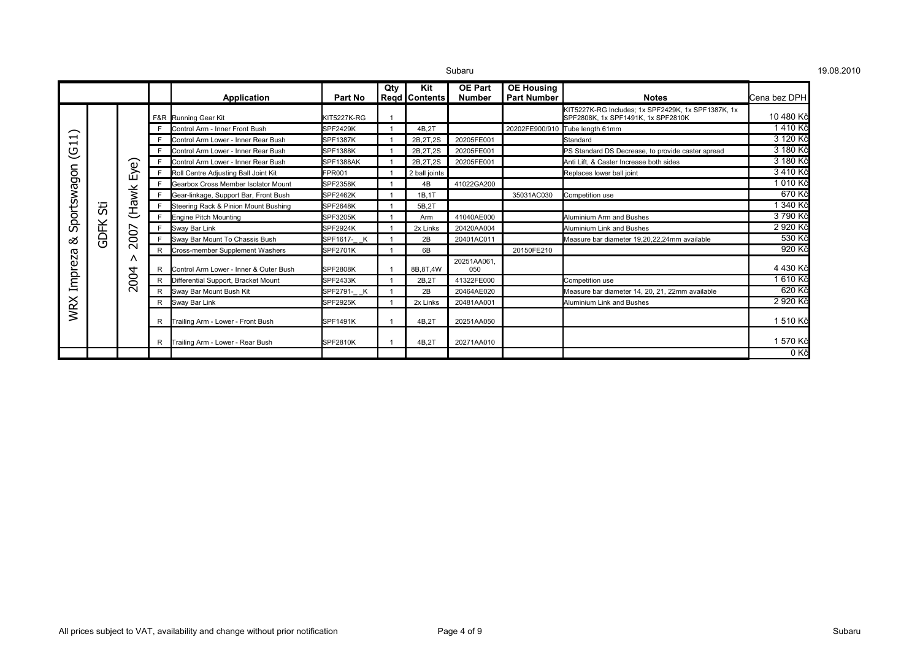| 3ubaru |
|--------|

|                                                                                               |                               |                                                                                                                                                                                                                                                                 |                 | Application                           | Part No                             | Qty        | Kit<br>Regd   Contents | <b>OE Part</b><br><b>Number</b> | <b>OE Housing</b><br><b>Part Number</b> |                                                                                                                                                                                                                                                                                                                                                                                                                                  | lCena bez DPH |
|-----------------------------------------------------------------------------------------------|-------------------------------|-----------------------------------------------------------------------------------------------------------------------------------------------------------------------------------------------------------------------------------------------------------------|-----------------|---------------------------------------|-------------------------------------|------------|------------------------|---------------------------------|-----------------------------------------|----------------------------------------------------------------------------------------------------------------------------------------------------------------------------------------------------------------------------------------------------------------------------------------------------------------------------------------------------------------------------------------------------------------------------------|---------------|
|                                                                                               |                               |                                                                                                                                                                                                                                                                 |                 | F&R Running Gear Kit                  | KIT5227K-RG                         |            |                        |                                 |                                         | KIT5227K-RG Includes; 1x SPF2429K, 1x SPF1387K, 1x                                                                                                                                                                                                                                                                                                                                                                               | 10 480 Kč     |
| $\widehat{\phantom{m}}$<br>$\mathbf{\mathbf{\mathbf{\mathbf{\mathbf{\mathbf{\mathbf{-}}}}}}}$ |                               |                                                                                                                                                                                                                                                                 |                 |                                       |                                     |            | 4B.2T                  |                                 |                                         |                                                                                                                                                                                                                                                                                                                                                                                                                                  | 1410 Kč       |
|                                                                                               |                               |                                                                                                                                                                                                                                                                 |                 | Control Arm - Inner Front Bush        | <b>SPF2429K</b>                     |            |                        |                                 |                                         |                                                                                                                                                                                                                                                                                                                                                                                                                                  | 3 120 Kč      |
| −                                                                                             |                               | Control Arm Lower - Inner Rear Bush                                                                                                                                                                                                                             | <b>SPF1387K</b> |                                       | 2B, 2T, 2S                          | 20205FE001 |                        |                                 |                                         |                                                                                                                                                                                                                                                                                                                                                                                                                                  |               |
| ပ                                                                                             |                               |                                                                                                                                                                                                                                                                 |                 | Control Arm Lower - Inner Rear Bush   | <b>SPF1388K</b>                     |            | 2B, 2T, 2S             | 20205FE001                      |                                         |                                                                                                                                                                                                                                                                                                                                                                                                                                  | 3 180 Kč      |
|                                                                                               |                               |                                                                                                                                                                                                                                                                 |                 | Control Arm Lower - Inner Rear Bush   | SPF1388AK<br>2B.2T.2S<br>20205FE001 | 3 180 Kč   |                        |                                 |                                         |                                                                                                                                                                                                                                                                                                                                                                                                                                  |               |
|                                                                                               |                               | Eye)                                                                                                                                                                                                                                                            |                 | Roll Centre Adjusting Ball Joint Kit  | FPR001                              |            | 2 ball joints          |                                 |                                         | Replaces lower ball joint                                                                                                                                                                                                                                                                                                                                                                                                        | 3 410 Kč      |
|                                                                                               |                               |                                                                                                                                                                                                                                                                 |                 | Gearbox Cross Member Isolator Mount   | <b>SPF2358K</b>                     |            | 4B                     | 41022GA200                      |                                         | <b>Notes</b><br>SPF2808K, 1x SPF1491K, 1x SPF2810K<br>20202FE900/910 Tube length 61mm<br>Standard<br>PS Standard DS Decrease, to provide caster spread<br>Anti Lift. & Caster Increase both sides<br>Competition use<br>Aluminium Arm and Bushes<br>Aluminium Link and Bushes<br>Measure bar diameter 19,20,22,24mm available<br>Competition use<br>Measure bar diameter 14, 20, 21, 22mm available<br>Aluminium Link and Bushes | 1010 Kč       |
|                                                                                               |                               |                                                                                                                                                                                                                                                                 |                 | Gear-linkage, Support Bar, Front Bush | <b>SPF2462K</b>                     |            | 1B.1T                  |                                 | 35031AC030                              |                                                                                                                                                                                                                                                                                                                                                                                                                                  | 670 Kč        |
|                                                                                               | 55                            | (Hawk                                                                                                                                                                                                                                                           |                 | Steering Rack & Pinion Mount Bushing  | <b>SPF2648K</b>                     |            | 5B.2T                  |                                 |                                         |                                                                                                                                                                                                                                                                                                                                                                                                                                  | 340 Kč        |
|                                                                                               | <b>GDFK</b><br>$\overline{8}$ |                                                                                                                                                                                                                                                                 | F               | <b>Engine Pitch Mounting</b>          | <b>SPF3205K</b>                     |            | Arm                    | 41040AE000                      |                                         |                                                                                                                                                                                                                                                                                                                                                                                                                                  | 3790 Kč       |
| Sportswagon                                                                                   |                               | ∼                                                                                                                                                                                                                                                               | F               | Sway Bar Link                         | <b>SPF2924K</b>                     |            | 2x Links               | 20420AA004                      |                                         |                                                                                                                                                                                                                                                                                                                                                                                                                                  | 2 920 Kč      |
| ಹ                                                                                             |                               | Sway Bar Mount To Chassis Bush<br>SPF1617- K<br>2B<br>20401AC011<br>E<br>$\sim$<br><b>Cross-member Supplement Washers</b><br><b>SPF2701K</b><br>6B<br>∧<br>20251AA061<br>Control Arm Lower - Inner & Outer Bush<br><b>SPF2808K</b><br>8B.8T.4W<br>050<br>R<br>↴ |                 |                                       |                                     |            |                        |                                 |                                         |                                                                                                                                                                                                                                                                                                                                                                                                                                  | 530 Kč        |
|                                                                                               |                               |                                                                                                                                                                                                                                                                 |                 |                                       |                                     |            |                        |                                 | 20150FE210                              |                                                                                                                                                                                                                                                                                                                                                                                                                                  | 920 Kč        |
| Impreza                                                                                       |                               |                                                                                                                                                                                                                                                                 |                 |                                       | 4 430 Kč                            |            |                        |                                 |                                         |                                                                                                                                                                                                                                                                                                                                                                                                                                  |               |
|                                                                                               |                               | 8                                                                                                                                                                                                                                                               |                 | Differential Support, Bracket Mount   | <b>SPF2433K</b>                     |            | 2B.2T                  | 41322FE000                      |                                         |                                                                                                                                                                                                                                                                                                                                                                                                                                  | 1 610 Kč      |
|                                                                                               |                               | $\sim$                                                                                                                                                                                                                                                          | R               | Sway Bar Mount Bush Kit               | SPF2791-<br>K                       |            | 2B                     | 20464AE020                      |                                         |                                                                                                                                                                                                                                                                                                                                                                                                                                  | 620 Kč        |
|                                                                                               |                               |                                                                                                                                                                                                                                                                 | R               | Sway Bar Link                         | <b>SPF2925K</b>                     |            | 2x Links               | 20481AA001                      |                                         |                                                                                                                                                                                                                                                                                                                                                                                                                                  | 2 920 Kč      |
| <b>WRX</b>                                                                                    |                               |                                                                                                                                                                                                                                                                 |                 | Trailing Arm - Lower - Front Bush     | <b>SPF1491K</b>                     |            | 4B.2T                  | 20251AA050                      |                                         |                                                                                                                                                                                                                                                                                                                                                                                                                                  | 1510 Kč       |
|                                                                                               |                               |                                                                                                                                                                                                                                                                 | R               | Trailing Arm - Lower - Rear Bush      | <b>SPF2810K</b>                     |            | 4B,2T                  | 20271AA010                      |                                         |                                                                                                                                                                                                                                                                                                                                                                                                                                  | 1 570 Kč      |
|                                                                                               |                               |                                                                                                                                                                                                                                                                 |                 |                                       |                                     |            |                        |                                 |                                         |                                                                                                                                                                                                                                                                                                                                                                                                                                  | 0 Kč          |

19.08.2010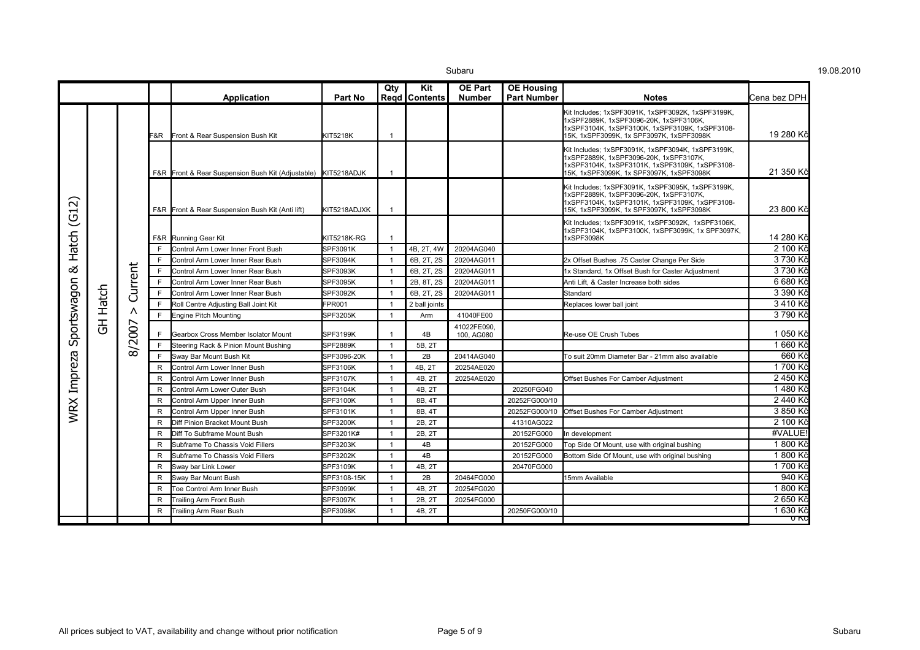$\sim$  19.08.2010  $\,$  19.08.2010  $\,$ 

|                         |                |                                                               |              | <b>Application</b>                                            | Part No            | Qty                      | Kit<br><b>Read   Contents</b> | <b>OE Part</b><br><b>Number</b> | <b>OE Housing</b><br><b>Part Number</b> | <b>Notes</b>                                                                                                                                                                              | lCena bez DPH |
|-------------------------|----------------|---------------------------------------------------------------|--------------|---------------------------------------------------------------|--------------------|--------------------------|-------------------------------|---------------------------------|-----------------------------------------|-------------------------------------------------------------------------------------------------------------------------------------------------------------------------------------------|---------------|
|                         |                |                                                               |              | <b>F&amp;R</b> Front & Rear Suspension Bush Kit               | <b>KIT5218K</b>    |                          |                               |                                 |                                         | Kit Includes; 1xSPF3091K, 1xSPF3092K, 1xSPF3199K,<br>1xSPF2889K, 1xSPF3096-20K, 1xSPF3106K,<br>1xSPF3104K, 1xSPF3100K, 1xSPF3109K, 1xSPF3108-<br>15K, 1xSPF3099K, 1x SPF3097K, 1xSPF3098K | 19 280 Kč     |
|                         |                |                                                               |              | F&R Front & Rear Suspension Bush Kit (Adjustable) KIT5218ADJK |                    | -1                       |                               |                                 |                                         | Kit Includes; 1xSPF3091K, 1xSPF3094K, 1xSPF3199K,<br>1xSPF2889K, 1xSPF3096-20K, 1xSPF3107K,<br>1xSPF3104K, 1xSPF3101K, 1xSPF3109K, 1xSPF3108-<br>15K, 1xSPF3099K, 1x SPF3097K, 1xSPF3098K | 21 350 Kč     |
| $\overline{\mathsf{N}}$ |                |                                                               |              | F&R Front & Rear Suspension Bush Kit (Anti lift)              | KIT5218ADJXK       |                          |                               |                                 |                                         | Kit Includes; 1xSPF3091K, 1xSPF3095K, 1xSPF3199K,<br>1xSPF2889K, 1xSPF3096-20K, 1xSPF3107K,<br>1xSPF3104K, 1xSPF3101K, 1xSPF3109K, 1xSPF3108-<br>15K, 1xSPF3099K, 1x SPF3097K, 1xSPF3098K | 23 800 Kč     |
| $\overline{G}$<br>Hatch |                |                                                               |              | F&R Running Gear Kit                                          | <b>KIT5218K-RG</b> | $\overline{1}$           |                               |                                 |                                         | Kit Includes; 1xSPF3091K, 1xSPF3092K, 1xSPF3106K,<br>1xSPF3104K, 1xSPF3100K, 1xSPF3099K, 1x SPF3097K,<br>1xSPF3098K                                                                       | 14 280 Kč     |
|                         |                |                                                               | E            | Control Arm Lower Inner Front Bush                            | SPF3091K           |                          | 4B, 2T, 4W                    | 20204AG040                      |                                         |                                                                                                                                                                                           | 2 100 Kč      |
|                         |                |                                                               | E            | Control Arm Lower Inner Rear Bush                             | SPF3094K           | $\overline{1}$           | 6B, 2T, 2S                    | 20204AG011                      |                                         | 2x Offset Bushes .75 Caster Change Per Side                                                                                                                                               | 3 730 Kč      |
| య                       |                |                                                               | F            | Control Arm Lower Inner Rear Bush                             | SPF3093K           | - 1                      | 6B, 2T, 2S                    | 20204AG011                      |                                         | 1x Standard, 1x Offset Bush for Caster Adjustment                                                                                                                                         | 3 730 Kč      |
|                         |                | <b>jurrent</b><br>Ō<br>Λ<br>$\overline{\phantom{1}}$<br>8/200 | F            | Control Arm Lower Inner Rear Bush                             | SPF3095K           | $\overline{1}$           | 2B, 8T, 2S                    | 20204AG011                      |                                         | Anti Lift, & Caster Increase both sides                                                                                                                                                   | 6 680 Kč      |
|                         | Hatch          |                                                               | E            | Control Arm Lower Inner Rear Bush                             | SPF3092K           | $\overline{\phantom{0}}$ | 6B, 2T, 2S                    | 20204AG011                      |                                         | Standard                                                                                                                                                                                  | 3 390 Kč      |
|                         |                |                                                               | E            | Roll Centre Adjusting Ball Joint Kit                          | <b>FPR001</b>      | - 1                      | 2 ball joints                 |                                 |                                         | Replaces lower ball joint                                                                                                                                                                 | 3 410 Kč      |
|                         |                |                                                               | E            | <b>Engine Pitch Mounting</b>                                  | <b>SPF3205K</b>    | $\overline{1}$           | Arm                           | 41040FE00                       |                                         |                                                                                                                                                                                           | 3 790 Kč      |
| Sportswagon             | $\overline{5}$ |                                                               | F.           | Gearbox Cross Member Isolator Mount                           | <b>SPF3199K</b>    |                          | 4B                            | 41022FE090<br>100, AG080        |                                         | Re-use OE Crush Tubes                                                                                                                                                                     | 1 050 Kč      |
|                         |                |                                                               | E            | Steering Rack & Pinion Mount Bushing                          | <b>SPF2889K</b>    | $\overline{1}$           | 5B, 2T                        |                                 |                                         |                                                                                                                                                                                           | 1 660 Kč      |
|                         |                |                                                               | E            | Sway Bar Mount Bush Kit                                       | SPF3096-20K        | $\overline{\mathbf{1}}$  | 2B                            | 20414AG040                      |                                         | To suit 20mm Diameter Bar - 21mm also available                                                                                                                                           | 660 Kč        |
|                         |                |                                                               | R            | Control Arm Lower Inner Bush                                  | SPF3106K           | $\overline{1}$           | 4B, 2T                        | 20254AE020                      |                                         |                                                                                                                                                                                           | 1700 Kč       |
|                         |                |                                                               | R            | Control Arm Lower Inner Bush                                  | SPF3107K           | -1                       | 4B. 2T                        | 20254AE020                      |                                         | Offset Bushes For Camber Adjustment                                                                                                                                                       | 2 450 Kč      |
|                         |                |                                                               | R            | Control Arm Lower Outer Bush                                  | SPF3104K           | $\overline{\phantom{0}}$ | 4B, 2T                        |                                 | 20250FG040                              |                                                                                                                                                                                           | 1480 Kč       |
| WRX Impreza             |                |                                                               | R            | Control Arm Upper Inner Bush                                  | SPF3100K           | $\overline{1}$           | 8B, 4T                        |                                 | 20252FG000/10                           |                                                                                                                                                                                           | 2 440 Kč      |
|                         |                |                                                               | R            | Control Arm Upper Inner Bush                                  | SPF3101K           | $\overline{1}$           | 8B, 4T                        |                                 | 20252FG000/10                           | Offset Bushes For Camber Adjustment                                                                                                                                                       | 3 850 Kč      |
|                         |                |                                                               | R            | Diff Pinion Bracket Mount Bush                                | SPF3200K           | $\overline{1}$           | 2B, 2T                        |                                 | 41310AG022                              |                                                                                                                                                                                           | 2 100 Kč      |
|                         |                |                                                               | $\mathsf{R}$ | Diff To Subframe Mount Bush                                   | SPF3201K#          | $\overline{1}$           | 2B, 2T                        |                                 | 20152FG000                              | In development                                                                                                                                                                            | #VALUE        |
|                         |                |                                                               | R            | Subframe To Chassis Void Fillers                              | SPF3203K           | $\overline{1}$           | 4B                            |                                 | 20152FG000                              | Top Side Of Mount, use with original bushing                                                                                                                                              | 1800 Kč       |
|                         |                |                                                               | R            | Subframe To Chassis Void Fillers                              | SPF3202K           | $\overline{\mathbf{1}}$  | 4B                            |                                 | 20152FG000                              | Bottom Side Of Mount, use with original bushing                                                                                                                                           | 1800 Kč       |
|                         |                |                                                               | $\mathsf{R}$ | Sway bar Link Lower                                           | SPF3109K           |                          | 4B, 2T                        |                                 | 20470FG000                              |                                                                                                                                                                                           | 1700 Kč       |
|                         |                |                                                               | R            | Sway Bar Mount Bush                                           | SPF3108-15K        | $\overline{1}$           | 2B                            | 20464FG000                      |                                         | 15mm Available                                                                                                                                                                            | 940 Kč        |
|                         |                |                                                               | R            | Toe Control Arm Inner Bush                                    | SPF3099K           | $\overline{\mathbf{1}}$  | 4B, 2T                        | 20254FG020                      |                                         |                                                                                                                                                                                           | 1 800 Kč      |
|                         |                |                                                               | R            | Trailing Arm Front Bush                                       | SPF3097K           | $\overline{1}$           | 2B, 2T                        | 20254FG000                      |                                         |                                                                                                                                                                                           | 2 650 Kč      |
|                         |                |                                                               | R            | <b>Trailing Arm Rear Bush</b>                                 | <b>SPF3098K</b>    | $\overline{1}$           | 4B, 2T                        |                                 | 20250FG000/10                           |                                                                                                                                                                                           | 1 630 Kč      |
|                         |                |                                                               |              |                                                               |                    |                          |                               |                                 |                                         |                                                                                                                                                                                           | U KC          |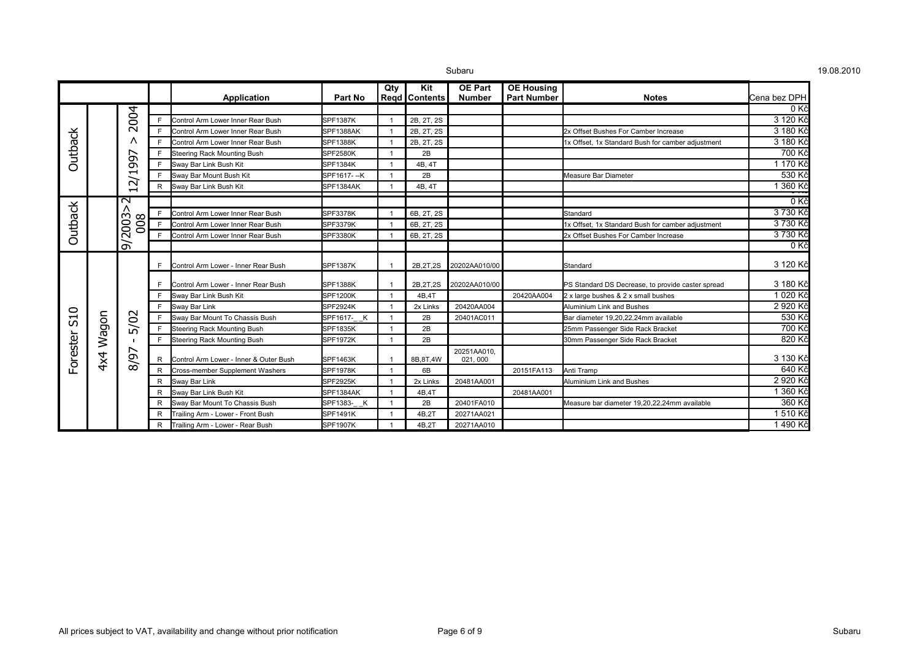|                |       |                                          |   | <b>Application</b>                     | Part No          | Qty | Kit<br>Regd   Contents | <b>OE Part</b><br><b>Number</b> | <b>OE Housing</b><br><b>Part Number</b> | <b>Notes</b>                                      | Cena bez DPH |
|----------------|-------|------------------------------------------|---|----------------------------------------|------------------|-----|------------------------|---------------------------------|-----------------------------------------|---------------------------------------------------|--------------|
|                |       |                                          |   |                                        |                  |     |                        |                                 |                                         |                                                   | 0Kč          |
|                |       | $\overline{5}$                           | E | Control Arm Lower Inner Rear Bush      | SPF1387K         |     | 2B, 2T, 2S             |                                 |                                         |                                                   | 3 120 Kč     |
|                |       | $\overline{\mathsf{N}}$                  |   | Control Arm Lower Inner Rear Bush      | <b>SPF1388AK</b> |     | 2B. 2T. 2S             |                                 |                                         | 2x Offset Bushes For Camber Increase              | 3 180 Kč     |
| <b>Outback</b> |       | ∧                                        |   | Control Arm Lower Inner Rear Bush      | <b>SPF1388K</b>  |     | 2B, 2T, 2S             |                                 |                                         | 1x Offset, 1x Standard Bush for camber adjustment | 3 180 Kč     |
|                |       | ↖                                        | E | <b>Steering Rack Mounting Bush</b>     | <b>SPF2580K</b>  |     | 2B                     |                                 |                                         |                                                   | 700 Kč       |
|                |       | ஜ                                        | E | Sway Bar Link Bush Kit                 | <b>SPF1384K</b>  |     | 4B, 4T                 |                                 |                                         |                                                   | 1 170 Kč     |
|                |       | $\overline{\phantom{0}}$<br>∽            | E | Sway Bar Mount Bush Kit                | SPF1617--K       |     | 2B                     |                                 |                                         | Measure Bar Diameter                              | 530 Kč       |
|                |       | $\mathbf{N}$<br>$\overline{\phantom{0}}$ | R | Sway Bar Link Bush Kit                 | SPF1384AK        |     | 4B, 4T                 |                                 |                                         |                                                   | 1 360 Kč     |
|                |       | $\overline{\mathsf{c}}$                  |   |                                        |                  |     |                        |                                 |                                         |                                                   | 0 Kč         |
| Outback        |       | Λ<br>9/2003<br>008                       |   | Control Arm Lower Inner Rear Bush      | <b>SPF3378K</b>  |     | 6B, 2T, 2S             |                                 |                                         | Standard                                          | 3 730 Kč     |
|                |       |                                          |   | Control Arm Lower Inner Rear Bush      | SPF3379K         |     | 6B, 2T, 2S             |                                 |                                         | 1x Offset, 1x Standard Bush for camber adjustment | 3 730 Kč     |
|                |       |                                          | F | Control Arm Lower Inner Rear Bush      | <b>SPF3380K</b>  |     | 6B, 2T, 2S             |                                 |                                         | 2x Offset Bushes For Camber Increase              | 3 730 Kč     |
|                |       |                                          |   |                                        |                  |     |                        |                                 |                                         |                                                   | 0Kč          |
|                |       |                                          |   | Control Arm Lower - Inner Rear Bush    | <b>SPF1387K</b>  |     | 2B, 2T, 2S             | 20202AA010/00                   |                                         | Standard                                          | 3 120 Kč     |
|                |       | 5/02<br>↖<br>8/9                         |   | Control Arm Lower - Inner Rear Bush    | <b>SPF1388K</b>  |     | 2B, 2T, 2S             | 20202AA010/00                   |                                         | PS Standard DS Decrease, to provide caster spread | 3 180 Kč     |
|                |       |                                          | E | Sway Bar Link Bush Kit                 | <b>SPF1200K</b>  |     | 4B,4T                  |                                 | 20420AA004                              | 2 x large bushes & 2 x small bushes               | 1 020 Kč     |
|                |       |                                          | F | Sway Bar Link                          | <b>SPF2924K</b>  |     | 2x Links               | 20420AA004                      |                                         | Aluminium Link and Bushes                         | 2 920 Kč     |
| <b>S10</b>     |       |                                          |   | Sway Bar Mount To Chassis Bush         | SPF1617- K       |     | 2B                     | 20401AC011                      |                                         | Bar diameter 19,20,22,24mm available              | 530 Kč       |
|                | Wagon |                                          | F | <b>Steering Rack Mounting Bush</b>     | <b>SPF1835K</b>  |     | 2B                     |                                 |                                         | 25mm Passenger Side Rack Bracket                  | 700 Kč       |
|                |       |                                          | F | <b>Steering Rack Mounting Bush</b>     | <b>SPF1972K</b>  |     | 2B                     |                                 |                                         | 30mm Passenger Side Rack Bracket                  | 820 Kč       |
| Forester       | 4x4   |                                          | R | Control Arm Lower - Inner & Outer Bush | <b>SPF1463K</b>  |     | 8B, 8T, 4W             | 20251AA010,<br>021, 000         |                                         |                                                   | 3 130 Kč     |
|                |       |                                          | R | Cross-member Supplement Washers        | <b>SPF1978K</b>  |     | 6B                     |                                 | 20151FA113                              | Anti Tramp                                        | 640 Kč       |
|                |       |                                          | R | Sway Bar Link                          | <b>SPF2925K</b>  |     | 2x Links               | 20481AA001                      |                                         | Aluminium Link and Bushes                         | 2 920 Kč     |
|                |       |                                          | R | Sway Bar Link Bush Kit                 | SPF1384AK        |     | 4B,4T                  |                                 | 20481AA001                              |                                                   | 1 360 Kč     |
|                |       |                                          | R | Sway Bar Mount To Chassis Bush         | SPF1383- K       |     | 2B                     | 20401FA010                      |                                         | Measure bar diameter 19,20,22,24mm available      | 360 Kč       |
|                |       |                                          | R | Trailing Arm - Lower - Front Bush      | <b>SPF1491K</b>  |     | 4B,2T                  | 20271AA021                      |                                         |                                                   | 1510 Kč      |
|                |       |                                          | R | Trailing Arm - Lower - Rear Bush       | <b>SPF1907K</b>  |     | 4B,2T                  | 20271AA010                      |                                         |                                                   | 1490 Kč      |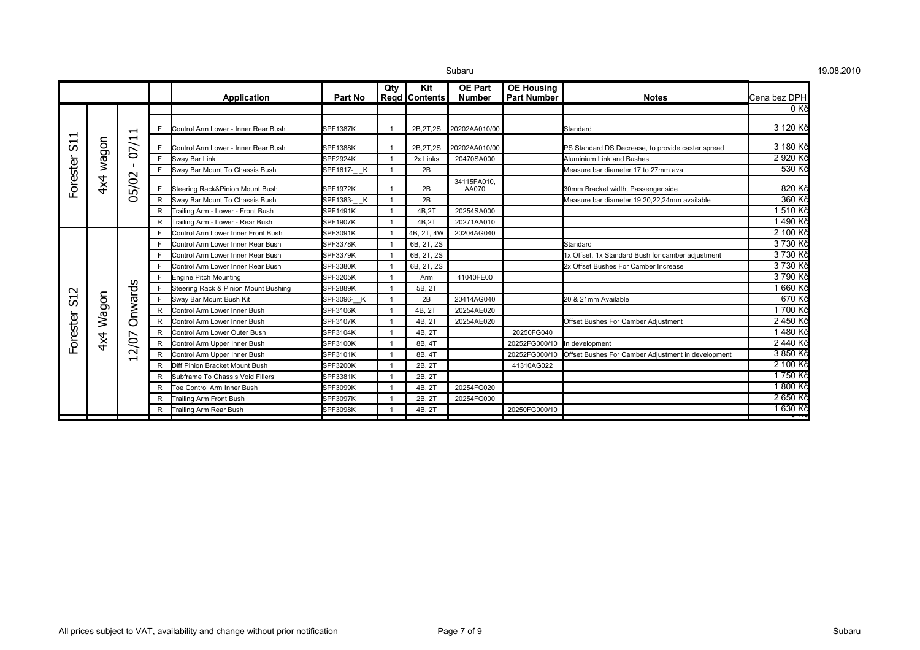|          |       |                           |              | Application                          | Part No         | Qty                      | Kit<br>Regd   Contents | <b>OE Part</b><br>Number | <b>OE Housing</b><br><b>Part Number</b> | <b>Notes</b>                                       | Cena bez DPH     |
|----------|-------|---------------------------|--------------|--------------------------------------|-----------------|--------------------------|------------------------|--------------------------|-----------------------------------------|----------------------------------------------------|------------------|
|          |       |                           |              |                                      |                 |                          |                        |                          |                                         |                                                    | 0Kč              |
| −        |       | −                         |              | Control Arm Lower - Inner Rear Bush  | SPF1387K        |                          | 2B, 2T, 2S             | 20202AA010/00            |                                         | Standard                                           | 3 120 Kč         |
| ᆋ<br>ഗ   | nobew | ᅱ<br>$\overline{O}$       |              | Control Arm Lower - Inner Rear Bush  | SPF1388K        |                          | 2B, 2T, 2S             | 20202AA010/00            |                                         | PS Standard DS Decrease, to provide caster spread  | 3 180 Kč         |
|          |       |                           | F.           | Sway Bar Link                        | <b>SPF2924K</b> |                          | 2x Links               | 20470SA000               |                                         | Aluminium Link and Bushes                          | 2 920 Kč         |
|          |       | $\sim$                    | F.           | Sway Bar Mount To Chassis Bush       | SPF1617- K      |                          | 2B                     |                          |                                         | Measure bar diameter 17 to 27mm ava                | 530 Kč           |
| Forester | 4x4   | 05/02                     |              | Steering Rack&Pinion Mount Bush      | <b>SPF1972K</b> |                          | 2B                     | 34115FA010.<br>AA070     |                                         | 30mm Bracket width, Passenger side                 | 820 Kč           |
|          |       |                           | $\mathsf{R}$ | Sway Bar Mount To Chassis Bush       | SPF1383- K      | $\overline{\phantom{0}}$ | 2B                     |                          |                                         | Measure bar diameter 19,20,22,24mm available       | 360 Kč           |
|          |       |                           | R            | Trailing Arm - Lower - Front Bush    | <b>SPF1491K</b> |                          | 4B.2T                  | 20254SA000               |                                         |                                                    | 1510 Kč          |
|          |       |                           | R            | Trailing Arm - Lower - Rear Bush     | <b>SPF1907K</b> |                          | 4B.2T                  | 20271AA010               |                                         |                                                    | 1 490 Kč         |
|          |       | nwards<br>$\circ$<br>2/07 |              | Control Arm Lower Inner Front Bush   | SPF3091K        |                          | 4B, 2T, 4W             | 20204AG040               |                                         |                                                    | 2 100 Kč         |
|          |       |                           | E            | Control Arm Lower Inner Rear Bush    | <b>SPF3378K</b> |                          | 6B, 2T, 2S             |                          |                                         | Standard                                           | 3 730 Kč         |
|          |       |                           |              | Control Arm Lower Inner Rear Bush    | <b>SPF3379K</b> |                          | 6B, 2T, 2S             |                          |                                         | 1x Offset, 1x Standard Bush for camber adjustment  | 3 730 Kč         |
|          |       |                           |              | Control Arm Lower Inner Rear Bush    | <b>SPF3380K</b> |                          | 6B, 2T, 2S             |                          |                                         | 2x Offset Bushes For Camber Increase               | 3 730 Kč         |
|          |       |                           |              | <b>Engine Pitch Mounting</b>         | <b>SPF3205K</b> |                          | Arm                    | 41040FE00                |                                         |                                                    | 3 790 Kč         |
| $\sim$   |       |                           |              | Steering Rack & Pinion Mount Bushing | <b>SPF2889K</b> |                          | 5B. 2T                 |                          |                                         |                                                    | 1 660 Kč         |
| 51       | Wagon |                           | E            | Sway Bar Mount Bush Kit              | SPF3096- K      |                          | 2B                     | 20414AG040               |                                         | 20 & 21mm Available                                | 670 Kč           |
|          |       |                           | R            | Control Arm Lower Inner Bush         | <b>SPF3106K</b> |                          | 4B, 2T                 | 20254AE020               |                                         |                                                    | 1700 Kč          |
|          |       |                           | R            | Control Arm Lower Inner Bush         | <b>SPF3107K</b> |                          | 4B. 2T                 | 20254AE020               |                                         | Offset Bushes For Camber Adjustment                | 2 450 Kč         |
|          |       |                           | R            | Control Arm Lower Outer Bush         | <b>SPF3104K</b> |                          | 4B. 2T                 |                          | 20250FG040                              |                                                    | 1 480 Kč         |
| -orester | 4x4   |                           | R            | Control Arm Upper Inner Bush         | <b>SPF3100K</b> |                          | 8B, 4T                 |                          | 20252FG000/10                           | In development                                     | 2 440 Kč         |
|          |       | $\overline{\phantom{0}}$  | R            | Control Arm Upper Inner Bush         | SPF3101K        |                          | 8B, 4T                 |                          | 20252FG000/10                           | Offset Bushes For Camber Adjustment in development | 3 850 Kč         |
|          |       |                           | R            | Diff Pinion Bracket Mount Bush       | <b>SPF3200K</b> |                          | 2B, 2T                 |                          | 41310AG022                              |                                                    | 2 100 Kč         |
|          |       |                           | R            | Subframe To Chassis Void Fillers     | <b>SPF3381K</b> |                          | 2B, 2T                 |                          |                                         |                                                    | 1750 Kč          |
|          |       |                           | R            | Toe Control Arm Inner Bush           | SPF3099K        |                          | 4B, 2T                 | 20254FG020               |                                         |                                                    | 1 800 Kč         |
|          |       |                           | R            | Trailing Arm Front Bush              | SPF3097K        |                          | 2B, 2T                 | 20254FG000               |                                         |                                                    | 2 650 Kč         |
|          |       |                           | R            | <b>Trailing Arm Rear Bush</b>        | <b>SPF3098K</b> |                          | 4B, 2T                 |                          | 20250FG000/10                           |                                                    | 1 630 Kč<br>ण्गर |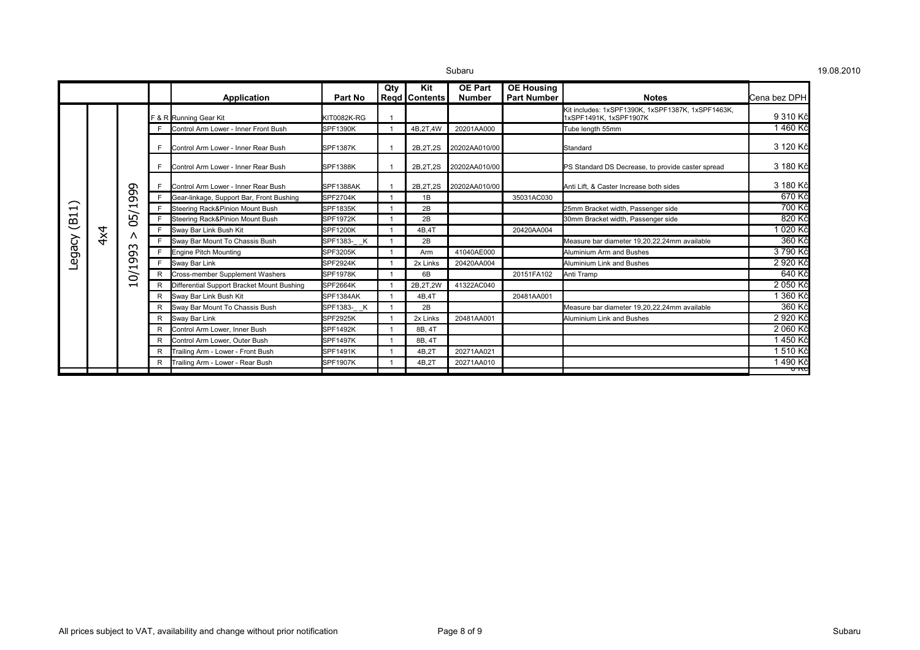|                 |     |                                                                               |   | Application                                | Part No         | Qty | Kit<br>Reqd   Contents | <b>OE Part</b><br><b>Number</b> | <b>OE Housing</b><br><b>Part Number</b> | <b>Notes</b>                                                                | lCena bez DPH |
|-----------------|-----|-------------------------------------------------------------------------------|---|--------------------------------------------|-----------------|-----|------------------------|---------------------------------|-----------------------------------------|-----------------------------------------------------------------------------|---------------|
|                 |     |                                                                               |   | F & R Running Gear Kit                     | KIT0082K-RG     |     |                        |                                 |                                         | Kit includes: 1xSPF1390K, 1xSPF1387K, 1xSPF1463K,<br>1xSPF1491K, 1xSPF1907K | 9 310 Kč      |
|                 |     |                                                                               |   | Control Arm Lower - Inner Front Bush       | <b>SPF1390K</b> |     | 4B,2T,4W               | 20201AA000                      |                                         | Tube length 55mm                                                            | 1460 Kč       |
|                 |     |                                                                               | E | Control Arm Lower - Inner Rear Bush        | <b>SPF1387K</b> |     | 2B, 2T, 2S             | 20202AA010/00                   |                                         | Standard                                                                    | 3 120 Kč      |
|                 |     |                                                                               |   | Control Arm Lower - Inner Rear Bush        | SPF1388K        |     | 2B.2T.2S               | 20202AA010/00                   |                                         | PS Standard DS Decrease, to provide caster spread                           | 3 180 Kč      |
|                 |     |                                                                               |   | Control Arm Lower - Inner Rear Bush        | SPF1388AK       |     | 2B, 2T, 2S             | 20202AA010/00                   |                                         | Anti Lift, & Caster Increase both sides                                     | 3 180 Kč      |
|                 |     | 999<br>ᆏ<br>05/<br>$\wedge$<br>ო<br>ᡡ<br>თ<br>⊣<br>$\delta$<br>$\blacksquare$ |   | Gear-linkage, Support Bar, Front Bushing   | <b>SPF2704K</b> |     | 1B                     |                                 | 35031AC030                              |                                                                             | 670 Kč        |
| $\overline{11}$ |     |                                                                               |   | Steering Rack&Pinion Mount Bush            | <b>SPF1835K</b> |     | 2B                     |                                 |                                         | 25mm Bracket width, Passenger side                                          | 700 Kč        |
| e               |     |                                                                               |   | Steering Rack&Pinion Mount Bush            | <b>SPF1972K</b> |     | 2B                     |                                 |                                         | 30mm Bracket width, Passenger side                                          | 820 Kč        |
|                 | 4x4 |                                                                               | F | Sway Bar Link Bush Kit                     | <b>SPF1200K</b> |     | 4B.4T                  |                                 | 20420AA004                              |                                                                             | 1 020 Kč      |
| egacy           |     |                                                                               | Е | Sway Bar Mount To Chassis Bush             | SPF1383- K      |     | 2B                     |                                 |                                         | Measure bar diameter 19.20.22.24mm available                                | 360 Kč        |
|                 |     |                                                                               |   | <b>Engine Pitch Mounting</b>               | <b>SPF3205K</b> |     | Arm                    | 41040AE000                      |                                         | Aluminium Arm and Bushes                                                    | 3790 Kč       |
|                 |     |                                                                               | F | Sway Bar Link                              | <b>SPF2924K</b> |     | 2x Links               | 20420AA004                      |                                         | <b>Aluminium Link and Bushes</b>                                            | 2 920 Kč      |
|                 |     |                                                                               |   | <b>Cross-member Supplement Washers</b>     | <b>SPF1978K</b> |     | 6B                     |                                 | 20151FA102                              | Anti Tramp                                                                  | 640 Kč        |
|                 |     |                                                                               |   | Differential Support Bracket Mount Bushing | <b>SPF2664K</b> |     | 2B.2T.2W               | 41322AC040                      |                                         |                                                                             | 2 050 Kč      |
|                 |     |                                                                               | R | Sway Bar Link Bush Kit                     | SPF1384AK       |     | 4B.4T                  |                                 | 20481AA001                              |                                                                             | 1 360 Kč      |
|                 |     |                                                                               |   | Sway Bar Mount To Chassis Bush             | SPF1383- K      |     | 2B                     |                                 |                                         | Measure bar diameter 19,20,22,24mm available                                | 360 Kč        |
|                 |     |                                                                               | R | Sway Bar Link                              | <b>SPF2925K</b> |     | 2x Links               | 20481AA001                      |                                         | Aluminium Link and Bushes                                                   | 2 920 Kč      |
|                 |     |                                                                               |   | Control Arm Lower, Inner Bush              | <b>SPF1492K</b> |     | 8B. 4T                 |                                 |                                         |                                                                             | 2 060 Kč      |
|                 |     |                                                                               |   | Control Arm Lower, Outer Bush              | <b>SPF1497K</b> |     | 8B, 4T                 |                                 |                                         |                                                                             | 1450 Kč       |
|                 |     |                                                                               |   | Trailing Arm - Lower - Front Bush          | <b>SPF1491K</b> |     | 4B.2T                  | 20271AA021                      |                                         |                                                                             | 1 510 Kč      |
|                 |     |                                                                               |   | Frailing Arm - Lower - Rear Bush           | <b>SPF1907K</b> |     | 4B.2T                  | 20271AA010                      |                                         |                                                                             | 1490 Kč       |
|                 |     |                                                                               |   |                                            |                 |     |                        |                                 |                                         |                                                                             | ᠊ᠣ᠊᠇ᢈᠣ        |